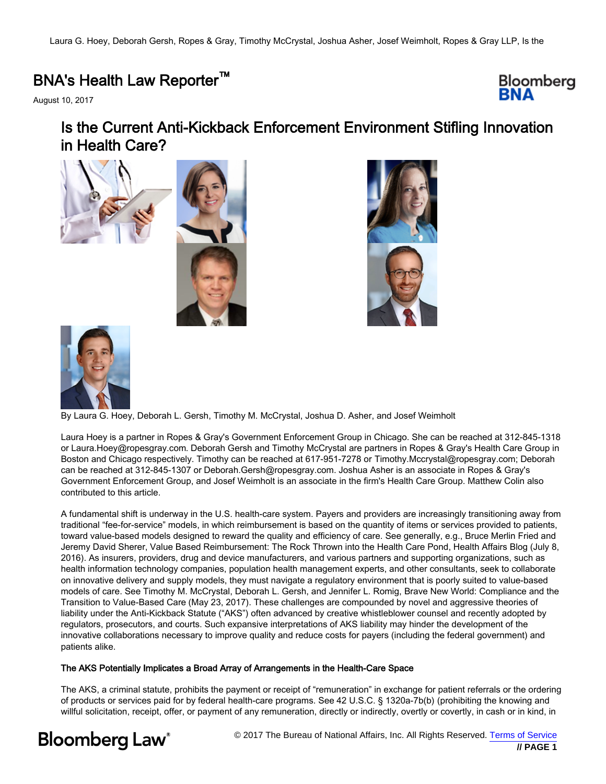### BNA's Health Law Reporter™

August 10, 2017



## Is the Current Anti-Kickback Enforcement Environment Stifling Innovation in Health Care?







By Laura G. Hoey, Deborah L. Gersh, Timothy M. McCrystal, Joshua D. Asher, and Josef Weimholt

Laura Hoey is a partner in Ropes & Gray's Government Enforcement Group in Chicago. She can be reached at 312-845-1318 or Laura.Hoey@ropesgray.com. Deborah Gersh and Timothy McCrystal are partners in Ropes & Gray's Health Care Group in Boston and Chicago respectively. Timothy can be reached at 617-951-7278 or Timothy.Mccrystal@ropesgray.com; Deborah can be reached at 312-845-1307 or Deborah.Gersh@ropesgray.com. Joshua Asher is an associate in Ropes & Gray's Government Enforcement Group, and Josef Weimholt is an associate in the firm's Health Care Group. Matthew Colin also contributed to this article.

A fundamental shift is underway in the U.S. health-care system. Payers and providers are increasingly transitioning away from traditional "fee-for-service" models, in which reimbursement is based on the quantity of items or services provided to patients, toward value-based models designed to reward the quality and efficiency of care. See generally, e.g., Bruce Merlin Fried and Jeremy David Sherer, Value Based Reimbursement: The Rock Thrown into the Health Care Pond, Health Affairs Blog (July 8, 2016). As insurers, providers, drug and device manufacturers, and various partners and supporting organizations, such as health information technology companies, population health management experts, and other consultants, seek to collaborate on innovative delivery and supply models, they must navigate a regulatory environment that is poorly suited to value-based models of care. See Timothy M. McCrystal, Deborah L. Gersh, and Jennifer L. Romig, Brave New World: Compliance and the Transition to Value-Based Care (May 23, 2017). These challenges are compounded by novel and aggressive theories of liability under the Anti-Kickback Statute ("AKS") often advanced by creative whistleblower counsel and recently adopted by regulators, prosecutors, and courts. Such expansive interpretations of AKS liability may hinder the development of the innovative collaborations necessary to improve quality and reduce costs for payers (including the federal government) and patients alike.

#### The AKS Potentially Implicates a Broad Array of Arrangements in the Health-Care Space

The AKS, a criminal statute, prohibits the payment or receipt of "remuneration" in exchange for patient referrals or the ordering of products or services paid for by federal health-care programs. See 42 U.S.C. § 1320a-7b(b) (prohibiting the knowing and willful solicitation, receipt, offer, or payment of any remuneration, directly or indirectly, overtly or covertly, in cash or in kind, in

# **Bloomberg Law**<sup>®</sup>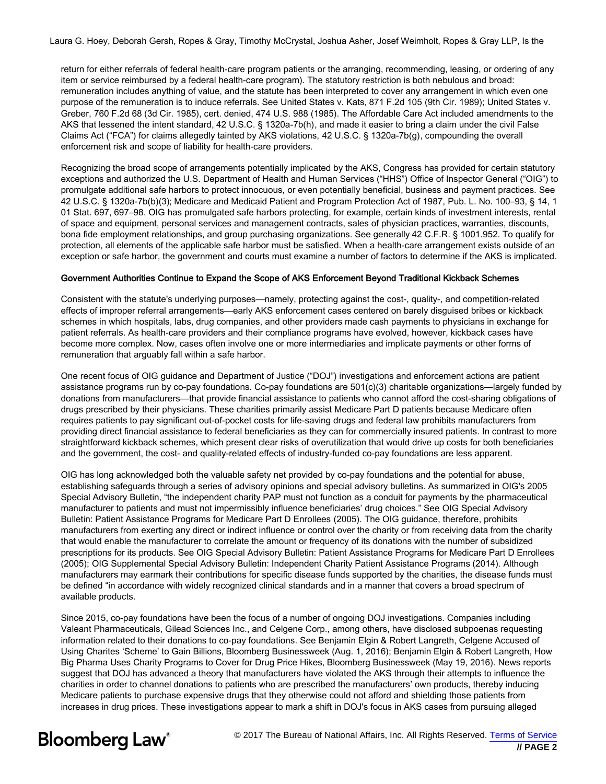return for either referrals of federal health-care program patients or the arranging, recommending, leasing, or ordering of any item or service reimbursed by a federal health-care program). The statutory restriction is both nebulous and broad: remuneration includes anything of value, and the statute has been interpreted to cover any arrangement in which even one purpose of the remuneration is to induce referrals. See United States v. Kats, 871 F.2d 105 (9th Cir. 1989); United States v. Greber, 760 F.2d 68 (3d Cir. 1985), cert. denied, 474 U.S. 988 (1985). The Affordable Care Act included amendments to the AKS that lessened the intent standard, 42 U.S.C. § 1320a-7b(h), and made it easier to bring a claim under the civil False Claims Act ("FCA") for claims allegedly tainted by AKS violations, 42 U.S.C. § 1320a-7b(g), compounding the overall enforcement risk and scope of liability for health-care providers.

Recognizing the broad scope of arrangements potentially implicated by the AKS, Congress has provided for certain statutory exceptions and authorized the U.S. Department of Health and Human Services ("HHS") Office of Inspector General ("OIG") to promulgate additional safe harbors to protect innocuous, or even potentially beneficial, business and payment practices. See 42 U.S.C. § 1320a-7b(b)(3); Medicare and Medicaid Patient and Program Protection Act of 1987, Pub. L. No. 100–93, § 14, 1 01 Stat. 697, 697–98. OIG has promulgated safe harbors protecting, for example, certain kinds of investment interests, rental of space and equipment, personal services and management contracts, sales of physician practices, warranties, discounts, bona fide employment relationships, and group purchasing organizations. See generally 42 C.F.R. § 1001.952. To qualify for protection, all elements of the applicable safe harbor must be satisfied. When a health-care arrangement exists outside of an exception or safe harbor, the government and courts must examine a number of factors to determine if the AKS is implicated.

#### Government Authorities Continue to Expand the Scope of AKS Enforcement Beyond Traditional Kickback Schemes

Consistent with the statute's underlying purposes—namely, protecting against the cost-, quality-, and competition-related effects of improper referral arrangements—early AKS enforcement cases centered on barely disguised bribes or kickback schemes in which hospitals, labs, drug companies, and other providers made cash payments to physicians in exchange for patient referrals. As health-care providers and their compliance programs have evolved, however, kickback cases have become more complex. Now, cases often involve one or more intermediaries and implicate payments or other forms of remuneration that arguably fall within a safe harbor.

One recent focus of OIG guidance and Department of Justice ("DOJ") investigations and enforcement actions are patient assistance programs run by co-pay foundations. Co-pay foundations are 501(c)(3) charitable organizations—largely funded by donations from manufacturers—that provide financial assistance to patients who cannot afford the cost-sharing obligations of drugs prescribed by their physicians. These charities primarily assist Medicare Part D patients because Medicare often requires patients to pay significant out-of-pocket costs for life-saving drugs and federal law prohibits manufacturers from providing direct financial assistance to federal beneficiaries as they can for commercially insured patients. In contrast to more straightforward kickback schemes, which present clear risks of overutilization that would drive up costs for both beneficiaries and the government, the cost- and quality-related effects of industry-funded co-pay foundations are less apparent.

OIG has long acknowledged both the valuable safety net provided by co-pay foundations and the potential for abuse, establishing safeguards through a series of advisory opinions and special advisory bulletins. As summarized in OIG's 2005 Special Advisory Bulletin, "the independent charity PAP must not function as a conduit for payments by the pharmaceutical manufacturer to patients and must not impermissibly influence beneficiaries' drug choices." See OIG Special Advisory Bulletin: Patient Assistance Programs for Medicare Part D Enrollees (2005). The OIG guidance, therefore, prohibits manufacturers from exerting any direct or indirect influence or control over the charity or from receiving data from the charity that would enable the manufacturer to correlate the amount or frequency of its donations with the number of subsidized prescriptions for its products. See OIG Special Advisory Bulletin: Patient Assistance Programs for Medicare Part D Enrollees (2005); OIG Supplemental Special Advisory Bulletin: Independent Charity Patient Assistance Programs (2014). Although manufacturers may earmark their contributions for specific disease funds supported by the charities, the disease funds must be defined "in accordance with widely recognized clinical standards and in a manner that covers a broad spectrum of available products.

Since 2015, co-pay foundations have been the focus of a number of ongoing DOJ investigations. Companies including Valeant Pharmaceuticals, Gilead Sciences Inc., and Celgene Corp., among others, have disclosed subpoenas requesting information related to their donations to co-pay foundations. See Benjamin Elgin & Robert Langreth, Celgene Accused of Using Charites 'Scheme' to Gain Billions, Bloomberg Businessweek (Aug. 1, 2016); Benjamin Elgin & Robert Langreth, How Big Pharma Uses Charity Programs to Cover for Drug Price Hikes, Bloomberg Businessweek (May 19, 2016). News reports suggest that DOJ has advanced a theory that manufacturers have violated the AKS through their attempts to influence the charities in order to channel donations to patients who are prescribed the manufacturers' own products, thereby inducing Medicare patients to purchase expensive drugs that they otherwise could not afford and shielding those patients from increases in drug prices. These investigations appear to mark a shift in DOJ's focus in AKS cases from pursuing alleged

**Bloomberg Law®**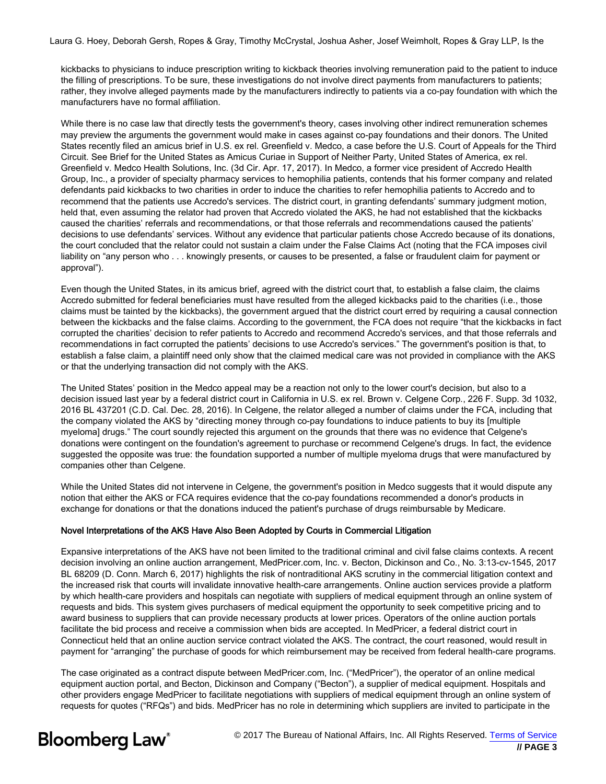kickbacks to physicians to induce prescription writing to kickback theories involving remuneration paid to the patient to induce the filling of prescriptions. To be sure, these investigations do not involve direct payments from manufacturers to patients; rather, they involve alleged payments made by the manufacturers indirectly to patients via a co-pay foundation with which the manufacturers have no formal affiliation.

While there is no case law that directly tests the government's theory, cases involving other indirect remuneration schemes may preview the arguments the government would make in cases against co-pay foundations and their donors. The United States recently filed an amicus brief in U.S. ex rel. Greenfield v. Medco, a case before the U.S. Court of Appeals for the Third Circuit. See Brief for the United States as Amicus Curiae in Support of Neither Party, United States of America, ex rel. Greenfield v. Medco Health Solutions, Inc. (3d Cir. Apr. 17, 2017). In Medco, a former vice president of Accredo Health Group, Inc., a provider of specialty pharmacy services to hemophilia patients, contends that his former company and related defendants paid kickbacks to two charities in order to induce the charities to refer hemophilia patients to Accredo and to recommend that the patients use Accredo's services. The district court, in granting defendants' summary judgment motion, held that, even assuming the relator had proven that Accredo violated the AKS, he had not established that the kickbacks caused the charities' referrals and recommendations, or that those referrals and recommendations caused the patients' decisions to use defendants' services. Without any evidence that particular patients chose Accredo because of its donations, the court concluded that the relator could not sustain a claim under the False Claims Act (noting that the FCA imposes civil liability on "any person who . . . knowingly presents, or causes to be presented, a false or fraudulent claim for payment or approval").

Even though the United States, in its amicus brief, agreed with the district court that, to establish a false claim, the claims Accredo submitted for federal beneficiaries must have resulted from the alleged kickbacks paid to the charities (i.e., those claims must be tainted by the kickbacks), the government argued that the district court erred by requiring a causal connection between the kickbacks and the false claims. According to the government, the FCA does not require "that the kickbacks in fact corrupted the charities' decision to refer patients to Accredo and recommend Accredo's services, and that those referrals and recommendations in fact corrupted the patients' decisions to use Accredo's services." The government's position is that, to establish a false claim, a plaintiff need only show that the claimed medical care was not provided in compliance with the AKS or that the underlying transaction did not comply with the AKS.

The United States' position in the Medco appeal may be a reaction not only to the lower court's decision, but also to a decision issued last year by a federal district court in California in U.S. ex rel. Brown v. Celgene Corp., 226 F. Supp. 3d 1032, 2016 BL 437201 (C.D. Cal. Dec. 28, 2016). In Celgene, the relator alleged a number of claims under the FCA, including that the company violated the AKS by "directing money through co-pay foundations to induce patients to buy its [multiple myeloma] drugs." The court soundly rejected this argument on the grounds that there was no evidence that Celgene's donations were contingent on the foundation's agreement to purchase or recommend Celgene's drugs. In fact, the evidence suggested the opposite was true: the foundation supported a number of multiple myeloma drugs that were manufactured by companies other than Celgene.

While the United States did not intervene in Celgene, the government's position in Medco suggests that it would dispute any notion that either the AKS or FCA requires evidence that the co-pay foundations recommended a donor's products in exchange for donations or that the donations induced the patient's purchase of drugs reimbursable by Medicare.

#### Novel Interpretations of the AKS Have Also Been Adopted by Courts in Commercial Litigation

Expansive interpretations of the AKS have not been limited to the traditional criminal and civil false claims contexts. A recent decision involving an online auction arrangement, MedPricer.com, Inc. v. Becton, Dickinson and Co., No. 3:13-cv-1545, 2017 BL 68209 (D. Conn. March 6, 2017) highlights the risk of nontraditional AKS scrutiny in the commercial litigation context and the increased risk that courts will invalidate innovative health-care arrangements. Online auction services provide a platform by which health-care providers and hospitals can negotiate with suppliers of medical equipment through an online system of requests and bids. This system gives purchasers of medical equipment the opportunity to seek competitive pricing and to award business to suppliers that can provide necessary products at lower prices. Operators of the online auction portals facilitate the bid process and receive a commission when bids are accepted. In MedPricer, a federal district court in Connecticut held that an online auction service contract violated the AKS. The contract, the court reasoned, would result in payment for "arranging" the purchase of goods for which reimbursement may be received from federal health-care programs.

The case originated as a contract dispute between MedPricer.com, Inc. ("MedPricer"), the operator of an online medical equipment auction portal, and Becton, Dickinson and Company ("Becton"), a supplier of medical equipment. Hospitals and other providers engage MedPricer to facilitate negotiations with suppliers of medical equipment through an online system of requests for quotes ("RFQs") and bids. MedPricer has no role in determining which suppliers are invited to participate in the

## **Bloomberg Law**<sup>®</sup>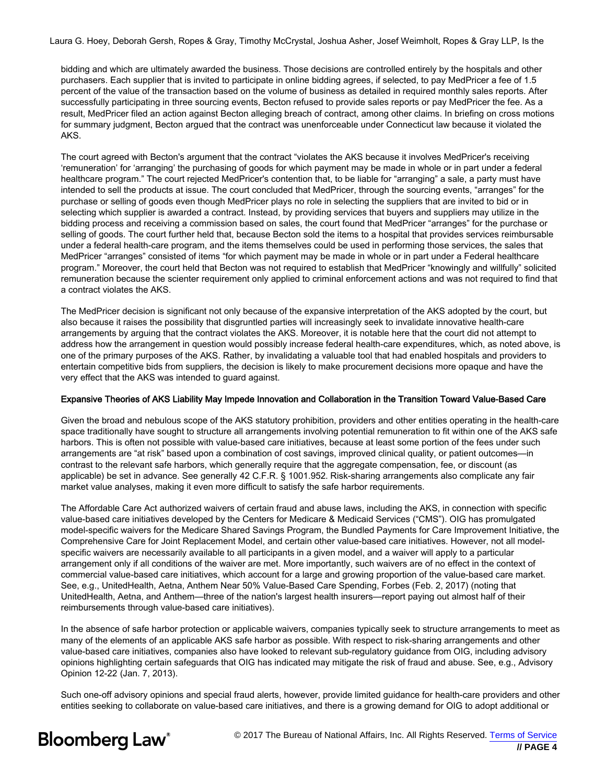bidding and which are ultimately awarded the business. Those decisions are controlled entirely by the hospitals and other purchasers. Each supplier that is invited to participate in online bidding agrees, if selected, to pay MedPricer a fee of 1.5 percent of the value of the transaction based on the volume of business as detailed in required monthly sales reports. After successfully participating in three sourcing events, Becton refused to provide sales reports or pay MedPricer the fee. As a result, MedPricer filed an action against Becton alleging breach of contract, among other claims. In briefing on cross motions for summary judgment, Becton argued that the contract was unenforceable under Connecticut law because it violated the AKS.

The court agreed with Becton's argument that the contract "violates the AKS because it involves MedPricer's receiving 'remuneration' for 'arranging' the purchasing of goods for which payment may be made in whole or in part under a federal healthcare program." The court rejected MedPricer's contention that, to be liable for "arranging" a sale, a party must have intended to sell the products at issue. The court concluded that MedPricer, through the sourcing events, "arranges" for the purchase or selling of goods even though MedPricer plays no role in selecting the suppliers that are invited to bid or in selecting which supplier is awarded a contract. Instead, by providing services that buyers and suppliers may utilize in the bidding process and receiving a commission based on sales, the court found that MedPricer "arranges" for the purchase or selling of goods. The court further held that, because Becton sold the items to a hospital that provides services reimbursable under a federal health-care program, and the items themselves could be used in performing those services, the sales that MedPricer "arranges" consisted of items "for which payment may be made in whole or in part under a Federal healthcare program." Moreover, the court held that Becton was not required to establish that MedPricer "knowingly and willfully" solicited remuneration because the scienter requirement only applied to criminal enforcement actions and was not required to find that a contract violates the AKS.

The MedPricer decision is significant not only because of the expansive interpretation of the AKS adopted by the court, but also because it raises the possibility that disgruntled parties will increasingly seek to invalidate innovative health-care arrangements by arguing that the contract violates the AKS. Moreover, it is notable here that the court did not attempt to address how the arrangement in question would possibly increase federal health-care expenditures, which, as noted above, is one of the primary purposes of the AKS. Rather, by invalidating a valuable tool that had enabled hospitals and providers to entertain competitive bids from suppliers, the decision is likely to make procurement decisions more opaque and have the very effect that the AKS was intended to guard against.

#### Expansive Theories of AKS Liability May Impede Innovation and Collaboration in the Transition Toward Value-Based Care

Given the broad and nebulous scope of the AKS statutory prohibition, providers and other entities operating in the health-care space traditionally have sought to structure all arrangements involving potential remuneration to fit within one of the AKS safe harbors. This is often not possible with value-based care initiatives, because at least some portion of the fees under such arrangements are "at risk" based upon a combination of cost savings, improved clinical quality, or patient outcomes—in contrast to the relevant safe harbors, which generally require that the aggregate compensation, fee, or discount (as applicable) be set in advance. See generally 42 C.F.R. § 1001.952. Risk-sharing arrangements also complicate any fair market value analyses, making it even more difficult to satisfy the safe harbor requirements.

The Affordable Care Act authorized waivers of certain fraud and abuse laws, including the AKS, in connection with specific value-based care initiatives developed by the Centers for Medicare & Medicaid Services ("CMS"). OIG has promulgated model-specific waivers for the Medicare Shared Savings Program, the Bundled Payments for Care Improvement Initiative, the Comprehensive Care for Joint Replacement Model, and certain other value-based care initiatives. However, not all modelspecific waivers are necessarily available to all participants in a given model, and a waiver will apply to a particular arrangement only if all conditions of the waiver are met. More importantly, such waivers are of no effect in the context of commercial value-based care initiatives, which account for a large and growing proportion of the value-based care market. See, e.g., UnitedHealth, Aetna, Anthem Near 50% Value-Based Care Spending, Forbes (Feb. 2, 2017) (noting that UnitedHealth, Aetna, and Anthem—three of the nation's largest health insurers—report paying out almost half of their reimbursements through value-based care initiatives).

In the absence of safe harbor protection or applicable waivers, companies typically seek to structure arrangements to meet as many of the elements of an applicable AKS safe harbor as possible. With respect to risk-sharing arrangements and other value-based care initiatives, companies also have looked to relevant sub-regulatory guidance from OIG, including advisory opinions highlighting certain safeguards that OIG has indicated may mitigate the risk of fraud and abuse. See, e.g., Advisory Opinion 12-22 (Jan. 7, 2013).

Such one-off advisory opinions and special fraud alerts, however, provide limited guidance for health-care providers and other entities seeking to collaborate on value-based care initiatives, and there is a growing demand for OIG to adopt additional or